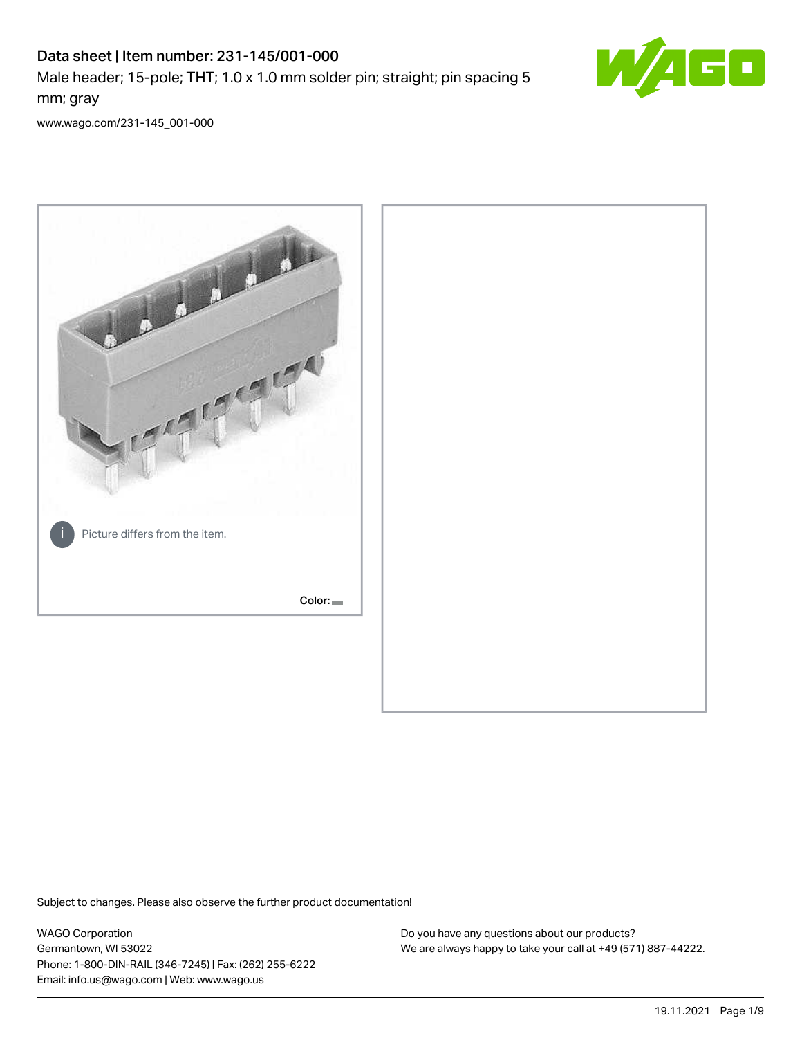# Data sheet | Item number: 231-145/001-000 Male header; 15-pole; THT; 1.0 x 1.0 mm solder pin; straight; pin spacing 5 mm; gray



[www.wago.com/231-145\\_001-000](http://www.wago.com/231-145_001-000)



Subject to changes. Please also observe the further product documentation!

WAGO Corporation Germantown, WI 53022 Phone: 1-800-DIN-RAIL (346-7245) | Fax: (262) 255-6222 Email: info.us@wago.com | Web: www.wago.us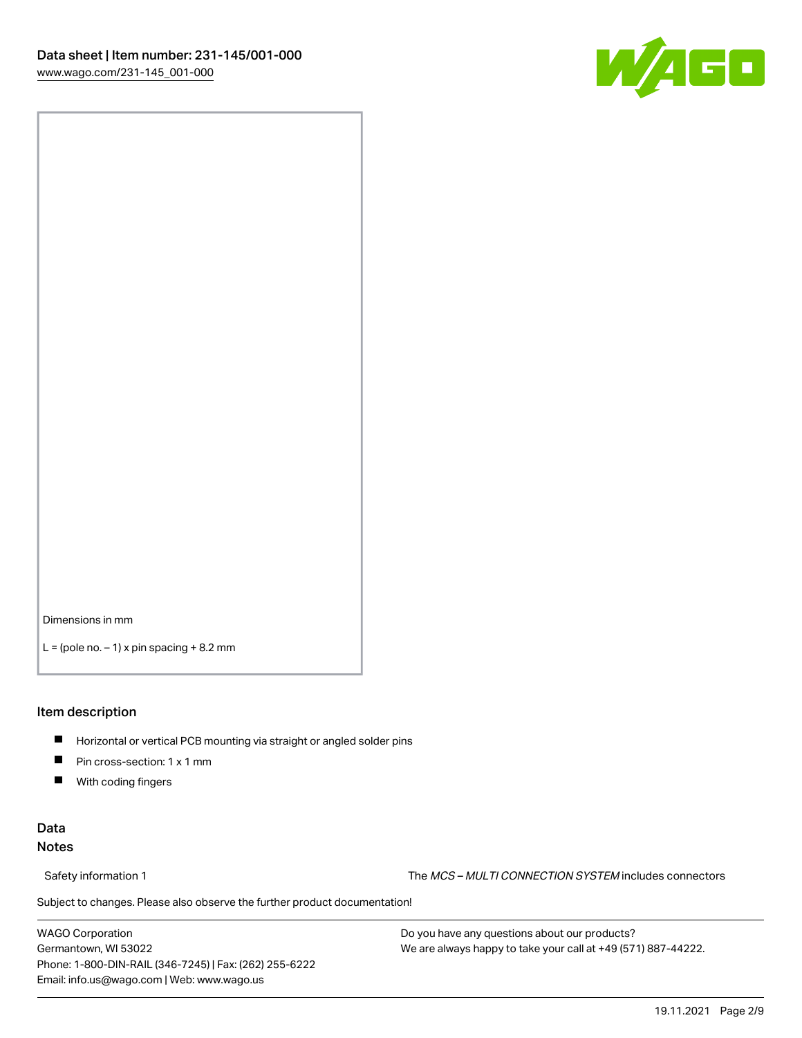

Dimensions in mm

 $L =$  (pole no.  $-1$ ) x pin spacing  $+8.2$  mm

#### Item description

- **Horizontal or vertical PCB mounting via straight or angled solder pins**
- **Pin cross-section: 1 x 1 mm**
- $\blacksquare$ With coding fingers

## Data Notes

Safety information 1 The MCS – MULTI CONNECTION SYSTEM includes connectors

Subject to changes. Please also observe the further product documentation!  $\nu$ 

WAGO Corporation Germantown, WI 53022 Phone: 1-800-DIN-RAIL (346-7245) | Fax: (262) 255-6222 Email: info.us@wago.com | Web: www.wago.us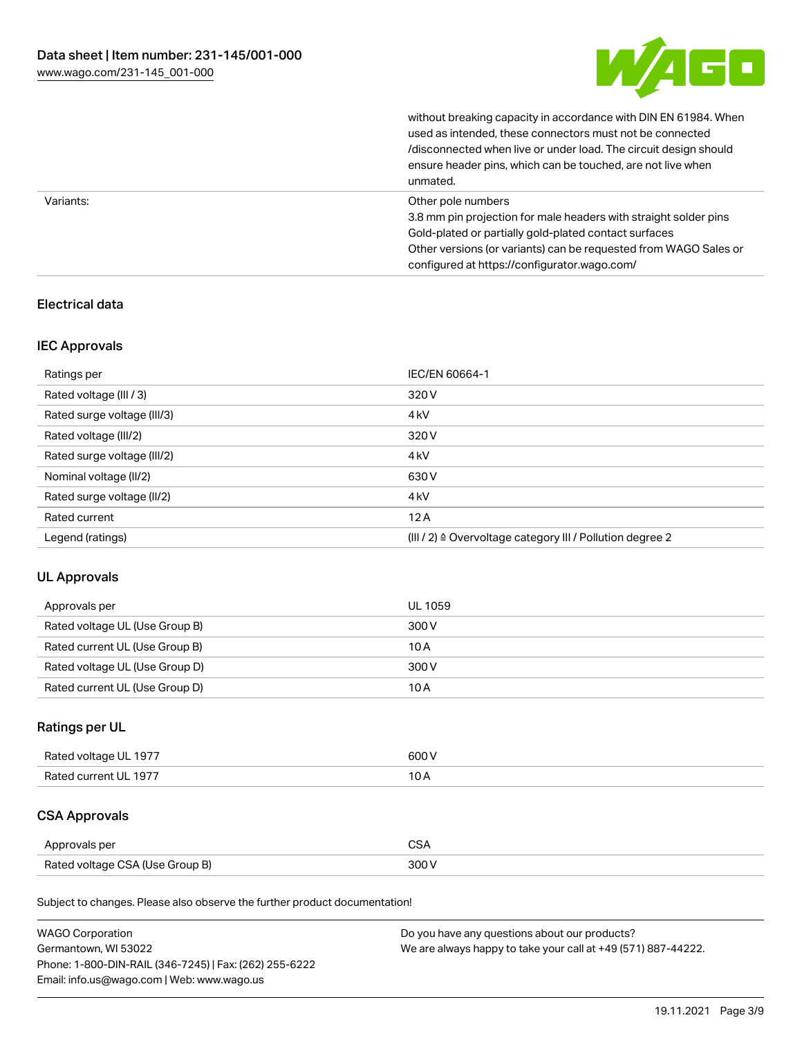

without breaking capacity in accordance with DIN EN 61984. When

|           | used as intended, these connectors must not be connected<br>/disconnected when live or under load. The circuit design should<br>ensure header pins, which can be touched, are not live when<br>unmated.                                                             |
|-----------|---------------------------------------------------------------------------------------------------------------------------------------------------------------------------------------------------------------------------------------------------------------------|
| Variants: | Other pole numbers<br>3.8 mm pin projection for male headers with straight solder pins<br>Gold-plated or partially gold-plated contact surfaces<br>Other versions (or variants) can be requested from WAGO Sales or<br>configured at https://configurator.wago.com/ |

## Electrical data

## IEC Approvals

| Ratings per                 | IEC/EN 60664-1                                                        |
|-----------------------------|-----------------------------------------------------------------------|
| Rated voltage (III / 3)     | 320 V                                                                 |
| Rated surge voltage (III/3) | 4 <sub>kV</sub>                                                       |
| Rated voltage (III/2)       | 320 V                                                                 |
| Rated surge voltage (III/2) | 4 <sub>k</sub> V                                                      |
| Nominal voltage (II/2)      | 630 V                                                                 |
| Rated surge voltage (II/2)  | 4 <sub>k</sub> V                                                      |
| Rated current               | 12A                                                                   |
| Legend (ratings)            | $(III / 2)$ $\triangle$ Overvoltage category III / Pollution degree 2 |

## UL Approvals

| Approvals per                  | UL 1059 |
|--------------------------------|---------|
| Rated voltage UL (Use Group B) | 300 V   |
| Rated current UL (Use Group B) | 10 A    |
| Rated voltage UL (Use Group D) | 300 V   |
| Rated current UL (Use Group D) | 10 A    |

## Ratings per UL

| Rated voltage UL 1977 | 600 V |
|-----------------------|-------|
| Rated current UL 1977 |       |

## CSA Approvals

| Approvals per                   | $\sim$ |
|---------------------------------|--------|
| Rated voltage CSA (Use Group B) | 300 V  |

Subject to changes. Please also observe the further product documentation!

| <b>WAGO Corporation</b>                                | Do you have any questions about our products?                 |
|--------------------------------------------------------|---------------------------------------------------------------|
| Germantown, WI 53022                                   | We are always happy to take your call at +49 (571) 887-44222. |
| Phone: 1-800-DIN-RAIL (346-7245)   Fax: (262) 255-6222 |                                                               |
| Email: info.us@wago.com   Web: www.wago.us             |                                                               |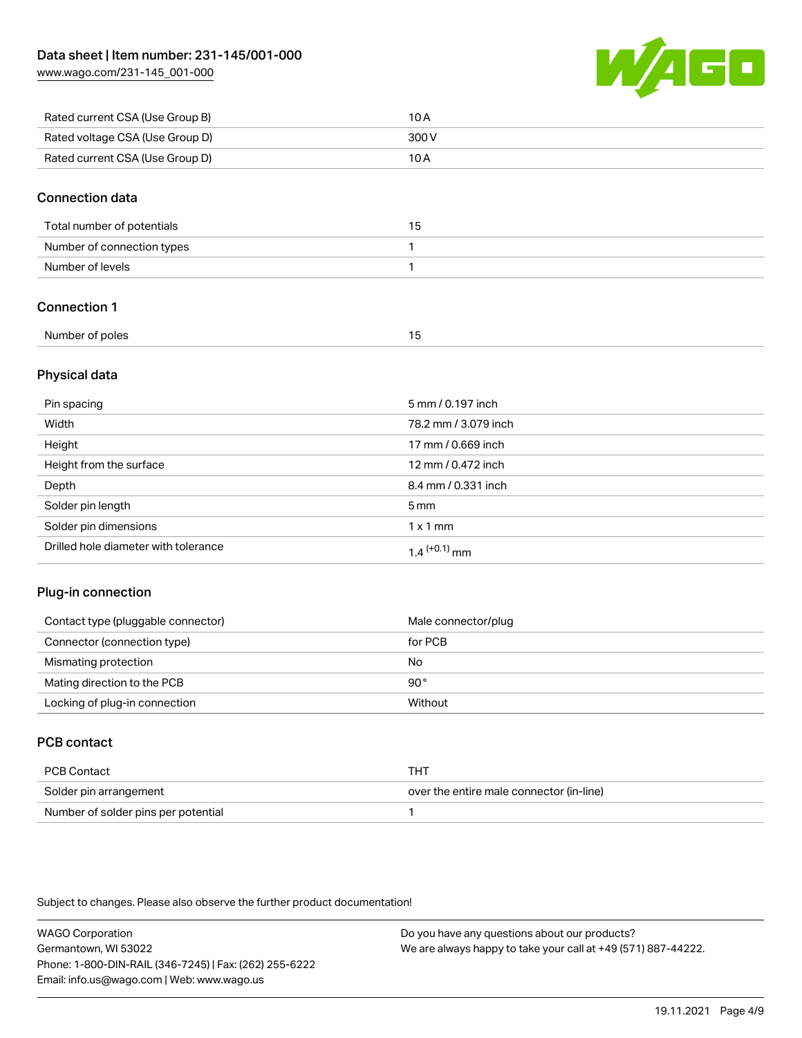[www.wago.com/231-145\\_001-000](http://www.wago.com/231-145_001-000)



| Rated current CSA (Use Group B) | 10 A  |
|---------------------------------|-------|
| Rated voltage CSA (Use Group D) | 300 V |
| Rated current CSA (Use Group D) | 10 A  |

#### Connection data

| Total number of potentials | 15 |
|----------------------------|----|
| Number of connection types |    |
| Number of levels           |    |

## Connection 1

| Number of poles |  |
|-----------------|--|
|                 |  |

## Physical data

| Pin spacing                          | 5 mm / 0.197 inch          |
|--------------------------------------|----------------------------|
| Width                                | 78.2 mm / 3.079 inch       |
| Height                               | 17 mm / 0.669 inch         |
| Height from the surface              | 12 mm / 0.472 inch         |
| Depth                                | 8.4 mm / 0.331 inch        |
| Solder pin length                    | 5 <sub>mm</sub>            |
| Solder pin dimensions                | $1 \times 1$ mm            |
| Drilled hole diameter with tolerance | $1.4$ <sup>(+0.1)</sup> mm |

## Plug-in connection

| Contact type (pluggable connector) | Male connector/plug |
|------------------------------------|---------------------|
| Connector (connection type)        | for PCB             |
| Mismating protection               | No                  |
| Mating direction to the PCB        | 90°                 |
| Locking of plug-in connection      | Without             |

## PCB contact

| PCB Contact                         | тнт                                      |
|-------------------------------------|------------------------------------------|
| Solder pin arrangement              | over the entire male connector (in-line) |
| Number of solder pins per potential |                                          |

Subject to changes. Please also observe the further product documentation!

WAGO Corporation Germantown, WI 53022 Phone: 1-800-DIN-RAIL (346-7245) | Fax: (262) 255-6222 Email: info.us@wago.com | Web: www.wago.us Do you have any questions about our products? We are always happy to take your call at +49 (571) 887-44222.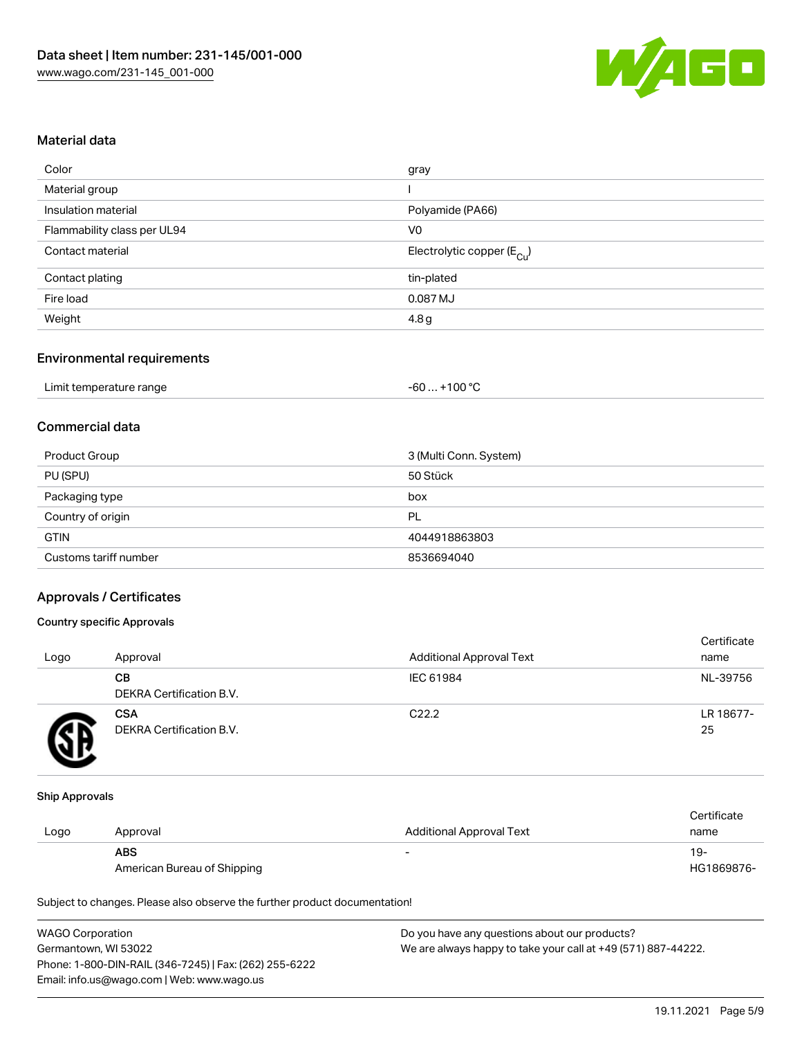

#### Material data

| gray                                   |
|----------------------------------------|
|                                        |
| Polyamide (PA66)                       |
| V <sub>0</sub>                         |
| Electrolytic copper (E <sub>Cu</sub> ) |
| tin-plated                             |
| 0.087 MJ                               |
| 4.8 g                                  |
|                                        |

#### Environmental requirements

| Limit temperature range | $+100 °C$<br>-60 |
|-------------------------|------------------|
|-------------------------|------------------|

## Commercial data

| Product Group         | 3 (Multi Conn. System) |
|-----------------------|------------------------|
| PU (SPU)              | 50 Stück               |
| Packaging type        | box                    |
| Country of origin     | PL                     |
| <b>GTIN</b>           | 4044918863803          |
| Customs tariff number | 8536694040             |

#### Approvals / Certificates

#### Country specific Approvals

| Logo | Approval                               | <b>Additional Approval Text</b> | Certificate<br>name |
|------|----------------------------------------|---------------------------------|---------------------|
|      | CВ<br>DEKRA Certification B.V.         | IEC 61984                       | NL-39756            |
|      | <b>CSA</b><br>DEKRA Certification B.V. | C <sub>22.2</sub>               | LR 18677-<br>25     |

#### Ship Approvals

|      |                             |                                 | Certificate |
|------|-----------------------------|---------------------------------|-------------|
| Logo | Approval                    | <b>Additional Approval Text</b> | name        |
|      | <b>ABS</b>                  | -                               | 19-         |
|      | American Bureau of Shipping |                                 | HG1869876-  |

Subject to changes. Please also observe the further product documentation!

| <b>WAGO Corporation</b>                                | Do you have any questions about our products?                 |
|--------------------------------------------------------|---------------------------------------------------------------|
| Germantown, WI 53022                                   | We are always happy to take your call at +49 (571) 887-44222. |
| Phone: 1-800-DIN-RAIL (346-7245)   Fax: (262) 255-6222 |                                                               |
| Email: info.us@wago.com   Web: www.wago.us             |                                                               |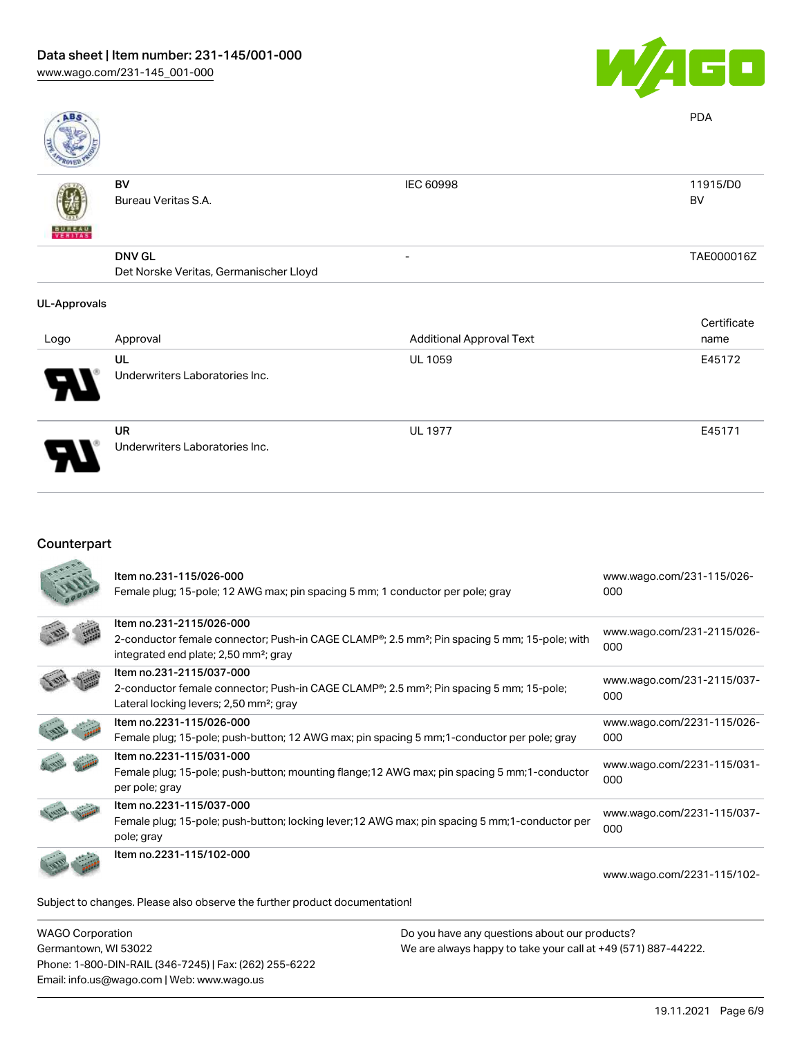

| ABS                      |                                        |                                 | <b>PDA</b>  |
|--------------------------|----------------------------------------|---------------------------------|-------------|
|                          | BV                                     | IEC 60998                       | 11915/D0    |
|                          | Bureau Veritas S.A.                    |                                 | BV          |
| <b>BUREAU</b><br>VERITAS |                                        |                                 |             |
|                          | <b>DNV GL</b>                          | -                               | TAE000016Z  |
|                          | Det Norske Veritas, Germanischer Lloyd |                                 |             |
| <b>UL-Approvals</b>      |                                        |                                 |             |
|                          |                                        |                                 | Certificate |
| Logo                     | Approval                               | <b>Additional Approval Text</b> | name        |
|                          | UL                                     | <b>UL 1059</b>                  | E45172      |
|                          | Underwriters Laboratories Inc.         |                                 |             |

 $\ddot{\phantom{1}}$ 

UR Underwriters Laboratories Inc.

## Counterpart

| Item no.231-115/026-000<br>Female plug; 15-pole; 12 AWG max; pin spacing 5 mm; 1 conductor per pole; gray                                                                                           | www.wago.com/231-115/026-<br>000  |
|-----------------------------------------------------------------------------------------------------------------------------------------------------------------------------------------------------|-----------------------------------|
| Item no.231-2115/026-000<br>2-conductor female connector; Push-in CAGE CLAMP®; 2.5 mm <sup>2</sup> ; Pin spacing 5 mm; 15-pole; with<br>integrated end plate; 2,50 mm <sup>2</sup> ; gray           | www.wago.com/231-2115/026-<br>000 |
| Item no.231-2115/037-000<br>2-conductor female connector; Push-in CAGE CLAMP <sup>®</sup> ; 2.5 mm <sup>2</sup> ; Pin spacing 5 mm; 15-pole;<br>Lateral locking levers; 2,50 mm <sup>2</sup> ; gray | www.wago.com/231-2115/037-<br>000 |
| Item no.2231-115/026-000<br>Female plug; 15-pole; push-button; 12 AWG max; pin spacing 5 mm; 1-conductor per pole; gray                                                                             | www.wago.com/2231-115/026-<br>000 |
| Item no.2231-115/031-000<br>Female plug; 15-pole; push-button; mounting flange; 12 AWG max; pin spacing 5 mm; 1-conductor<br>per pole; gray                                                         | www.wago.com/2231-115/031-<br>000 |
| Item no.2231-115/037-000<br>Female plug; 15-pole; push-button; locking lever; 12 AWG max; pin spacing 5 mm; 1-conductor per<br>pole; gray                                                           | www.wago.com/2231-115/037-<br>000 |
| Item no.2231-115/102-000                                                                                                                                                                            | www.wago.com/2231-115/102-        |
| Subject to changes. Please also observe the further product documentation!                                                                                                                          |                                   |

WAGO Corporation Germantown, WI 53022 Phone: 1-800-DIN-RAIL (346-7245) | Fax: (262) 255-6222 Email: info.us@wago.com | Web: www.wago.us

Do you have any questions about our products? We are always happy to take your call at +49 (571) 887-44222.

UL 1977 E45171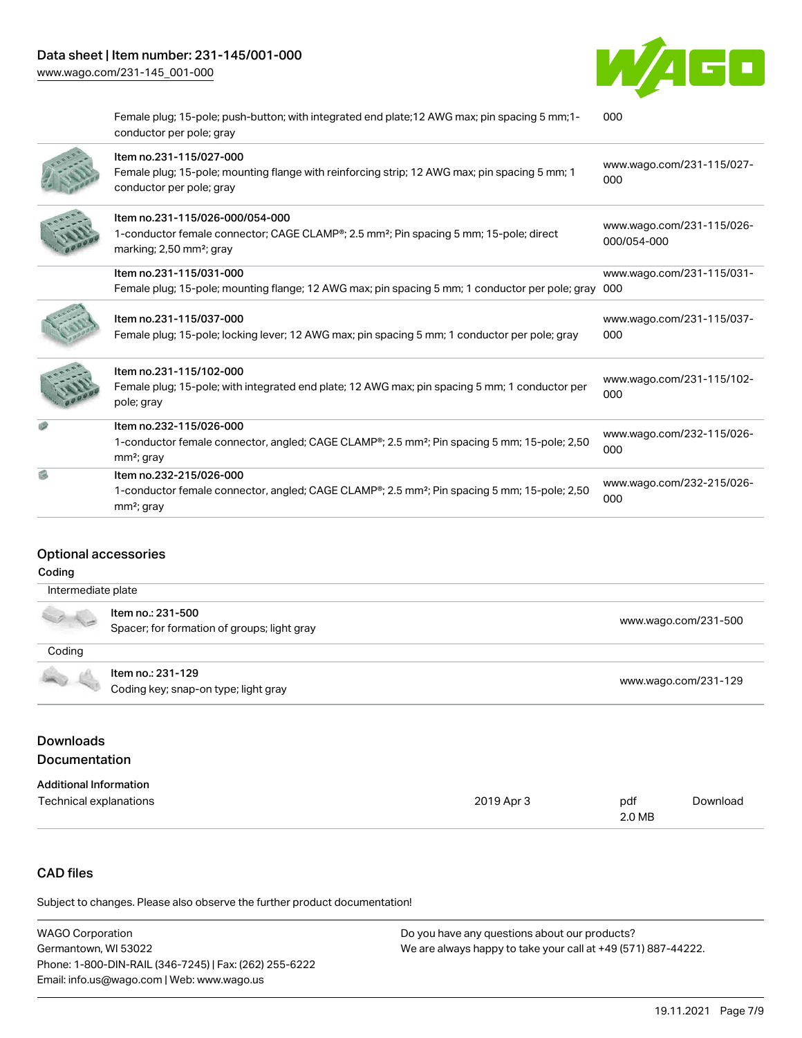

Female plug; 15-pole; push-button; with integrated end plate;12 AWG max; pin spacing 5 mm;1 conductor per pole; gray [000](https://www.wago.com/2231-115/102-000)



#### Optional accessories

#### Coding

| Intermediate plate |                                                                  |                      |
|--------------------|------------------------------------------------------------------|----------------------|
|                    | ltem no.: 231-500<br>Spacer; for formation of groups; light gray | www.wago.com/231-500 |
| Coding             |                                                                  |                      |
| 40 L               | Item no.: 231-129<br>Coding key; snap-on type; light gray        | www.wago.com/231-129 |

#### Downloads Documentation

#### Additional Information Technical explanations 2019 Apr 3 pdf 2.0 MB [Download](https://www.wago.com/global/d/1435602)

## CAD files

Subject to changes. Please also observe the further product documentation!

| <b>WAGO Corporation</b>                                | Do you have any questions about our products?                 |
|--------------------------------------------------------|---------------------------------------------------------------|
| Germantown, WI 53022                                   | We are always happy to take your call at +49 (571) 887-44222. |
| Phone: 1-800-DIN-RAIL (346-7245)   Fax: (262) 255-6222 |                                                               |
| Email: info.us@wago.com   Web: www.wago.us             |                                                               |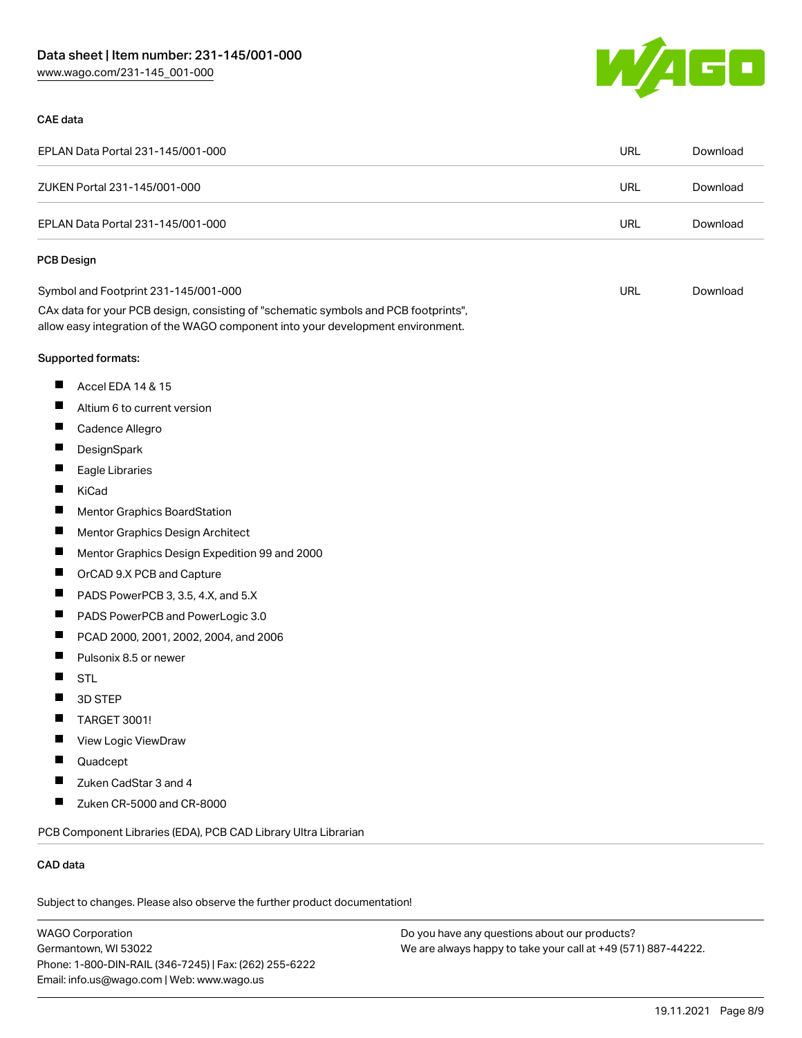



| EPLAN Data Portal 231-145/001-000                                                                                                                                      | URL        | Download |
|------------------------------------------------------------------------------------------------------------------------------------------------------------------------|------------|----------|
| ZUKEN Portal 231-145/001-000                                                                                                                                           | <b>URL</b> | Download |
| EPLAN Data Portal 231-145/001-000                                                                                                                                      | <b>URL</b> | Download |
| <b>PCB Design</b>                                                                                                                                                      |            |          |
| Symbol and Footprint 231-145/001-000                                                                                                                                   | <b>URL</b> | Download |
| CAx data for your PCB design, consisting of "schematic symbols and PCB footprints",<br>allow easy integration of the WAGO component into your development environment. |            |          |
| Supported formats:                                                                                                                                                     |            |          |
| ш<br>Accel EDA 14 & 15                                                                                                                                                 |            |          |
| Ш<br>Altium 6 to current version                                                                                                                                       |            |          |
| ш<br>Cadence Allegro                                                                                                                                                   |            |          |
| ш<br>DesignSpark                                                                                                                                                       |            |          |
| $\blacksquare$<br>Eagle Libraries                                                                                                                                      |            |          |
| ш<br>KiCad                                                                                                                                                             |            |          |
| ш<br>Mentor Graphics BoardStation                                                                                                                                      |            |          |
| П<br>Mentor Graphics Design Architect                                                                                                                                  |            |          |
| ш<br>Mentor Graphics Design Expedition 99 and 2000                                                                                                                     |            |          |
| ш<br>OrCAD 9.X PCB and Capture                                                                                                                                         |            |          |
| ш<br>PADS PowerPCB 3, 3.5, 4.X, and 5.X                                                                                                                                |            |          |
| ш<br>PADS PowerPCB and PowerLogic 3.0                                                                                                                                  |            |          |
| ш<br>PCAD 2000, 2001, 2002, 2004, and 2006                                                                                                                             |            |          |
| Pulsonix 8.5 or newer                                                                                                                                                  |            |          |
| H<br><b>STL</b>                                                                                                                                                        |            |          |
| 3D STEP                                                                                                                                                                |            |          |
| П<br><b>TARGET 3001!</b>                                                                                                                                               |            |          |
| View Logic ViewDraw                                                                                                                                                    |            |          |
| Quadcept                                                                                                                                                               |            |          |
| Zuken CadStar 3 and 4<br>П                                                                                                                                             |            |          |
| ш<br>Zuken CR-5000 and CR-8000                                                                                                                                         |            |          |
| PCB Component Libraries (EDA), PCB CAD Library Ultra Librarian                                                                                                         |            |          |

#### CAD data

Subject to changes. Please also observe the further product documentation!

WAGO Corporation Germantown, WI 53022 Phone: 1-800-DIN-RAIL (346-7245) | Fax: (262) 255-6222 Email: info.us@wago.com | Web: www.wago.us